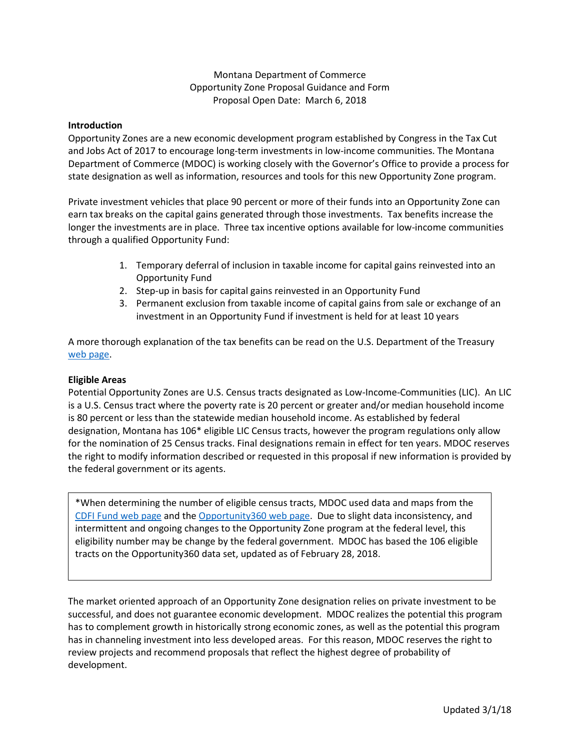## Montana Department of Commerce Opportunity Zone Proposal Guidance and Form Proposal Open Date: March 6, 2018

### **Introduction**

Opportunity Zones are a new economic development program established by Congress in the Tax Cut and Jobs Act of 2017 to encourage long-term investments in low-income communities. The Montana Department of Commerce (MDOC) is working closely with the Governor's Office to provide a process for state designation as well as information, resources and tools for this new Opportunity Zone program.

Private investment vehicles that place 90 percent or more of their funds into an Opportunity Zone can earn tax breaks on the capital gains generated through those investments. Tax benefits increase the longer the investments are in place. Three tax incentive options available for low-income communities through a qualified Opportunity Fund:

- 1. Temporary deferral of inclusion in taxable income for capital gains reinvested into an Opportunity Fund
- 2. Step-up in basis for capital gains reinvested in an Opportunity Fund
- 3. Permanent exclusion from taxable income of capital gains from sale or exchange of an investment in an Opportunity Fund if investment is held for at least 10 years

A more thorough explanation of the tax benefits can be read on the U.S. Department of the Treasury [web page.](https://www.cdfifund.gov/pages/opportunity-zones.aspx)

### **Eligible Areas**

Potential Opportunity Zones are U.S. Census tracts designated as Low-Income-Communities (LIC). An LIC is a U.S. Census tract where the poverty rate is 20 percent or greater and/or median household income is 80 percent or less than the statewide median household income. As established by federal designation, Montana has 106\* eligible LIC Census tracts, however the program regulations only allow for the nomination of 25 Census tracks. Final designations remain in effect for ten years. MDOC reserves the right to modify information described or requested in this proposal if new information is provided by the federal government or its agents.

\*When determining the number of eligible census tracts, MDOC used data and maps from the [CDFI Fund web page](https://www.cdfifund.gov/Pages/Opportunity-Zones.aspx) and the [Opportunity360 web page.](https://www.enterprisecommunity.org/opportunity360/opportunity-zone-eligibility-tool) Due to slight data inconsistency, and intermittent and ongoing changes to the Opportunity Zone program at the federal level, this eligibility number may be change by the federal government. MDOC has based the 106 eligible tracts on the Opportunity360 data set, updated as of February 28, 2018.

The market oriented approach of an Opportunity Zone designation relies on private investment to be successful, and does not guarantee economic development. MDOC realizes the potential this program has to complement growth in historically strong economic zones, as well as the potential this program has in channeling investment into less developed areas. For this reason, MDOC reserves the right to review projects and recommend proposals that reflect the highest degree of probability of development.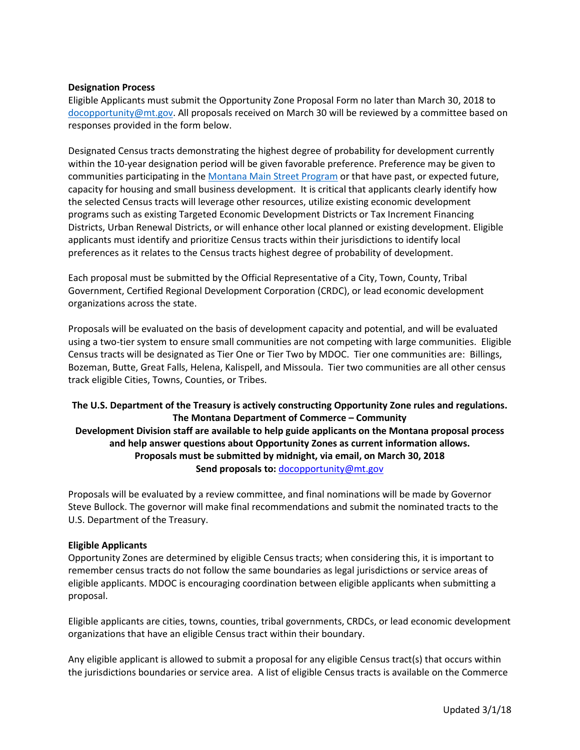#### **Designation Process**

Eligible Applicants must submit the Opportunity Zone Proposal Form no later than March 30, 2018 to [docopportunity@mt.gov.](mailto:docopportunity@mt.gov) All proposals received on March 30 will be reviewed by a committee based on responses provided in the form below.

Designated Census tracts demonstrating the highest degree of probability for development currently within the 10-year designation period will be given favorable preference. Preference may be given to communities participating in the [Montana Main Street Program](http://comdev.mt.gov/Programs/MainStreet/Outreach/ProgramMap) or that have past, or expected future, capacity for housing and small business development. It is critical that applicants clearly identify how the selected Census tracts will leverage other resources, utilize existing economic development programs such as existing Targeted Economic Development Districts or Tax Increment Financing Districts, Urban Renewal Districts, or will enhance other local planned or existing development. Eligible applicants must identify and prioritize Census tracts within their jurisdictions to identify local preferences as it relates to the Census tracts highest degree of probability of development.

Each proposal must be submitted by the Official Representative of a City, Town, County, Tribal Government, Certified Regional Development Corporation (CRDC), or lead economic development organizations across the state.

Proposals will be evaluated on the basis of development capacity and potential, and will be evaluated using a two-tier system to ensure small communities are not competing with large communities. Eligible Census tracts will be designated as Tier One or Tier Two by MDOC. Tier one communities are: Billings, Bozeman, Butte, Great Falls, Helena, Kalispell, and Missoula. Tier two communities are all other census track eligible Cities, Towns, Counties, or Tribes.

# **The U.S. Department of the Treasury is actively constructing Opportunity Zone rules and regulations. The Montana Department of Commerce – Community Development Division staff are available to help guide applicants on the Montana proposal process and help answer questions about Opportunity Zones as current information allows. Proposals must be submitted by midnight, via email, on March 30, 2018 Send proposals to:** [docopportunity@mt.gov](mailto:docopportunity@mt.gov)

Proposals will be evaluated by a review committee, and final nominations will be made by Governor Steve Bullock. The governor will make final recommendations and submit the nominated tracts to the U.S. Department of the Treasury.

#### **Eligible Applicants**

Opportunity Zones are determined by eligible Census tracts; when considering this, it is important to remember census tracts do not follow the same boundaries as legal jurisdictions or service areas of eligible applicants. MDOC is encouraging coordination between eligible applicants when submitting a proposal.

Eligible applicants are cities, towns, counties, tribal governments, CRDCs, or lead economic development organizations that have an eligible Census tract within their boundary.

Any eligible applicant is allowed to submit a proposal for any eligible Census tract(s) that occurs within the jurisdictions boundaries or service area. A list of eligible Census tracts is available on the Commerce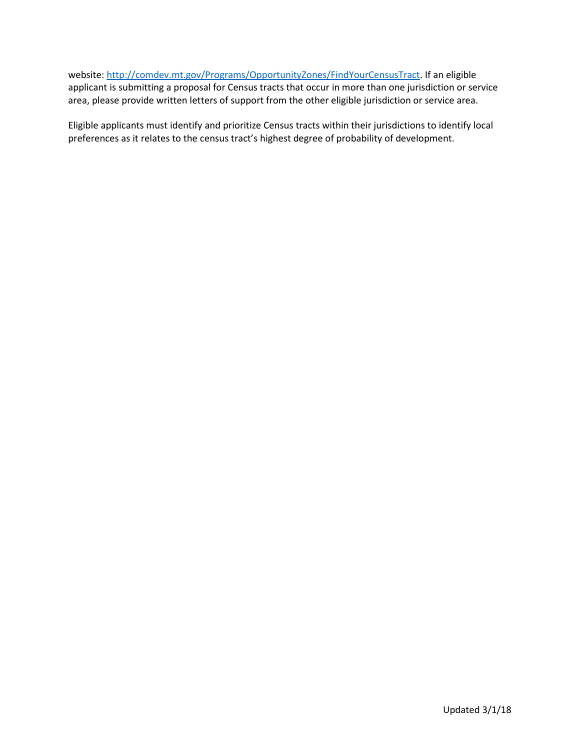website[: http://comdev.mt.gov/Programs/OpportunityZones/FindYourCensusTract.](http://comdev.mt.gov/Programs/OpportunityZones/FindYourCensusTract) If an eligible applicant is submitting a proposal for Census tracts that occur in more than one jurisdiction or service area, please provide written letters of support from the other eligible jurisdiction or service area.

Eligible applicants must identify and prioritize Census tracts within their jurisdictions to identify local preferences as it relates to the census tract's highest degree of probability of development.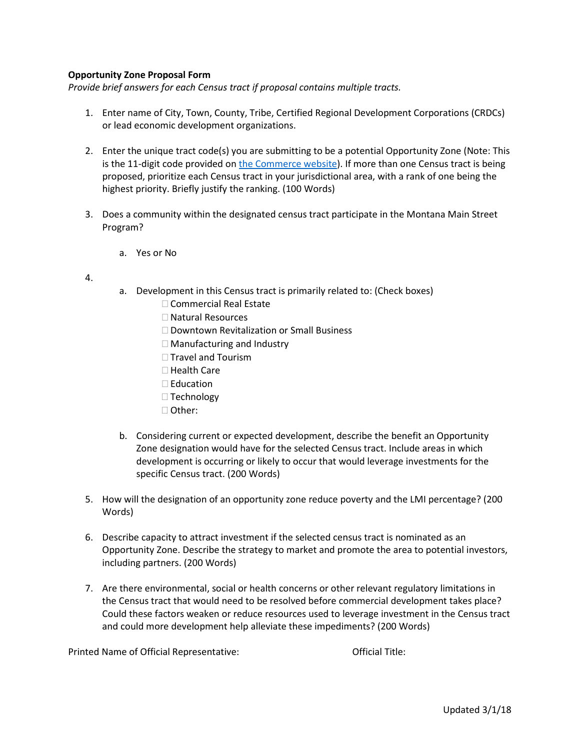## **Opportunity Zone Proposal Form**

*Provide brief answers for each Census tract if proposal contains multiple tracts.* 

- 1. Enter name of City, Town, County, Tribe, Certified Regional Development Corporations (CRDCs) or lead economic development organizations.
- 2. Enter the unique tract code(s) you are submitting to be a potential Opportunity Zone (Note: This is the 11-digit code provided on [the Commerce website\)](http://comdev.mt.gov/Programs/OpportunityZones/FindYourCensusTract). If more than one Census tract is being proposed, prioritize each Census tract in your jurisdictional area, with a rank of one being the highest priority. Briefly justify the ranking. (100 Words)
- 3. Does a community within the designated census tract participate in the Montana Main Street Program?
	- a. Yes or No
- 4.
- a. Development in this Census tract is primarily related to: (Check boxes)
	- □ Commercial Real Estate
	- □ Natural Resources
	- □ Downtown Revitalization or Small Business
	- □ Manufacturing and Industry
	- $\Box$  Travel and Tourism
	- $\Box$  Health Care
	- $\square$  Education
	- $\Box$  Technology
	- Other:
- b. Considering current or expected development, describe the benefit an Opportunity Zone designation would have for the selected Census tract. Include areas in which development is occurring or likely to occur that would leverage investments for the specific Census tract. (200 Words)
- 5. How will the designation of an opportunity zone reduce poverty and the LMI percentage? (200 Words)
- 6. Describe capacity to attract investment if the selected census tract is nominated as an Opportunity Zone. Describe the strategy to market and promote the area to potential investors, including partners. (200 Words)
- 7. Are there environmental, social or health concerns or other relevant regulatory limitations in the Census tract that would need to be resolved before commercial development takes place? Could these factors weaken or reduce resources used to leverage investment in the Census tract and could more development help alleviate these impediments? (200 Words)

Printed Name of Official Representative: Chinage Contract Official Title: